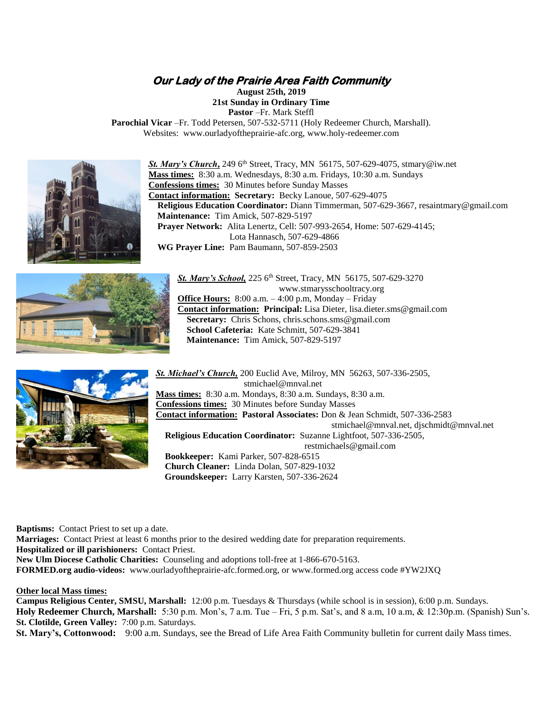# **Our Lady of the Prairie Area Faith Community**

**August 25th, 2019**

**21st Sunday in Ordinary Time Pastor** –Fr. Mark Steffl

**Parochial Vicar** –Fr. Todd Petersen, 507-532-5711 (Holy Redeemer Church, Marshall). Websites: [www.ourladyoftheprairie-afc.org,](http://www.ourladyoftheprairie-afc.org/) [www.holy-redeemer.com](http://www.holy-redeemer.com/)



**St. Mary's Church**, 249 6<sup>th</sup> Street, Tracy, MN 56175, 507-629-4075, stmary@iw.net **Mass times:** 8:30 a.m. Wednesdays, 8:30 a.m. Fridays, 10:30 a.m. Sundays **Confessions times:** 30 Minutes before Sunday Masses **Contact information: Secretary:** Becky Lanoue, 507-629-4075  **Religious Education Coordinator:** Diann Timmerman, 507-629-3667, resaintmary@gmail.com  **Maintenance:** Tim Amick, 507-829-5197  **Prayer Network:** Alita Lenertz, Cell: 507-993-2654, Home: 507-629-4145; Lota Hannasch, 507-629-4866  **WG Prayer Line:** Pam Baumann, 507-859-2503



*St. Mary's School,* 225 6th Street, Tracy, MN 56175, 507-629-3270 www.stmarysschooltracy.org **Office Hours:** 8:00 a.m. – 4:00 p.m, Monday – Friday **Contact information: Principal:** Lisa Dieter, [lisa.dieter.sms@gmail.com](mailto:lisa.dieter.sms@gmail.com) Secretary: Chris Schons, [chris.schons.sms@gmail.com](mailto:Chris.schons.sms@gmail.com)  **School Cafeteria:** Kate Schmitt, 507-629-3841  **Maintenance:** Tim Amick, 507-829-5197



*St. Michael's Church,* 200 Euclid Ave, Milroy, MN 56263, 507-336-2505, [stmichael@mnval.net](mailto:stmichael@mnval.net) **Mass times:** 8:30 a.m. Mondays, 8:30 a.m. Sundays, 8:30 a.m. **Confessions times:** 30 Minutes before Sunday Masses **Contact information: Pastoral Associates:** Don & Jean Schmidt, 507-336-2583 [stmichael@mnval.net,](mailto:stmichael@mnval.met) djschmidt@mnval.net  **Religious Education Coordinator:** Suzanne Lightfoot, 507-336-2505, [restmichaels@gmail.com](mailto:restmichaels@gmail.com)  **Bookkeeper:** Kami Parker, 507-828-6515  **Church Cleaner:** Linda Dolan, 507-829-1032  **Groundskeeper:** Larry Karsten, 507-336-2624

**Baptisms:** Contact Priest to set up a date.

**Marriages:** Contact Priest at least 6 months prior to the desired wedding date for preparation requirements. **Hospitalized or ill parishioners:** Contact Priest. **New Ulm Diocese Catholic Charities:** Counseling and adoptions toll-free at 1-866-670-5163. **FORMED.org audio-videos:** [www.ourladyoftheprairie-afc.formed.org,](http://www.ourladyoftheprairie-afc.formed.org/) or [www.formed.org](http://www.formed.org/) access code #YW2JXQ

**Other local Mass times:**

**Campus Religious Center, SMSU, Marshall:** 12:00 p.m. Tuesdays & Thursdays (while school is in session), 6:00 p.m. Sundays. **Holy Redeemer Church, Marshall:** 5:30 p.m. Mon's, 7 a.m. Tue – Fri, 5 p.m. Sat's, and 8 a.m, 10 a.m, & 12:30p.m. (Spanish) Sun's. **St. Clotilde, Green Valley:** 7:00 p.m. Saturdays.

**St. Mary's, Cottonwood:** 9:00 a.m. Sundays, see the Bread of Life Area Faith Community bulletin for current daily Mass times.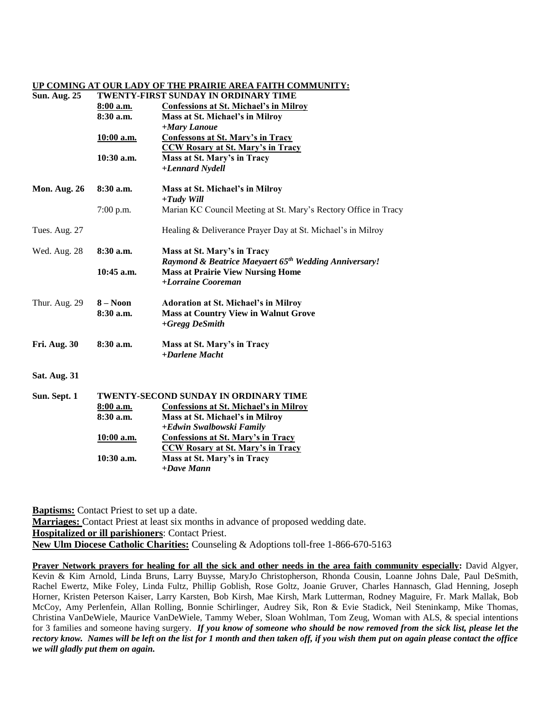#### **UP COMING AT OUR LADY OF THE PRAIRIE AREA FAITH COMMUNITY:**

| <b>Sun. Aug. 25</b> | TWENTY-FIRST SUNDAY IN ORDINARY TIME  |                                                                   |
|---------------------|---------------------------------------|-------------------------------------------------------------------|
|                     | 8:00 a.m.                             | <b>Confessions at St. Michael's in Milroy</b>                     |
|                     | 8:30 a.m.                             | Mass at St. Michael's in Milroy                                   |
|                     |                                       | +Mary Lanoue                                                      |
|                     | 10:00 a.m.                            | <b>Confessons at St. Mary's in Tracy</b>                          |
|                     |                                       | <b>CCW Rosary at St. Mary's in Tracy</b>                          |
|                     | $10:30$ a.m.                          | Mass at St. Mary's in Tracy                                       |
|                     |                                       | +Lennard Nydell                                                   |
| Mon. Aug. 26        | $8:30$ a.m.                           | Mass at St. Michael's in Milroy                                   |
|                     |                                       | $+ T u d v$ Will                                                  |
|                     | 7:00 p.m.                             | Marian KC Council Meeting at St. Mary's Rectory Office in Tracy   |
| Tues. Aug. 27       |                                       | Healing & Deliverance Prayer Day at St. Michael's in Milroy       |
| Wed. Aug. 28        | 8:30 a.m.                             | Mass at St. Mary's in Tracy                                       |
|                     |                                       | Raymond & Beatrice Maeyaert 65 <sup>th</sup> Wedding Anniversary! |
|                     | $10:45$ a.m.                          | <b>Mass at Prairie View Nursing Home</b>                          |
|                     |                                       | +Lorraine Cooreman                                                |
| Thur. Aug. 29       | $8 - N00n$                            | <b>Adoration at St. Michael's in Milroy</b>                       |
|                     | $8:30$ a.m.                           | <b>Mass at Country View in Walnut Grove</b>                       |
|                     |                                       | $+Gregg$ DeSmith                                                  |
| Fri. Aug. 30        | 8:30 a.m.                             | Mass at St. Mary's in Tracy                                       |
|                     |                                       | +Darlene Macht                                                    |
| <b>Sat. Aug. 31</b> |                                       |                                                                   |
| Sun. Sept. 1        | TWENTY-SECOND SUNDAY IN ORDINARY TIME |                                                                   |
|                     | 8:00 a.m.                             | <b>Confessions at St. Michael's in Milroy</b>                     |
|                     | 8:30 a.m.                             | Mass at St. Michael's in Milroy                                   |
|                     |                                       | +Edwin Swalbowski Family                                          |
|                     | <u>10:00 a.m.</u>                     | <b>Confessions at St. Mary's in Tracy</b>                         |
|                     |                                       | <b>CCW Rosary at St. Mary's in Tracy</b>                          |
|                     | 10:30 a.m.                            | Mass at St. Mary's in Tracy                                       |
|                     |                                       | $+ Dave Mann$                                                     |
|                     |                                       |                                                                   |

**Baptisms:** Contact Priest to set up a date. **Marriages:** Contact Priest at least six months in advance of proposed wedding date. **Hospitalized or ill parishioners**: Contact Priest. **New Ulm Diocese Catholic Charities:** Counseling & Adoptions toll-free 1-866-670-5163

**Prayer Network prayers for healing for all the sick and other needs in the area faith community especially:** David Algyer, Kevin & Kim Arnold, Linda Bruns, Larry Buysse, MaryJo Christopherson, Rhonda Cousin, Loanne Johns Dale, Paul DeSmith, Rachel Ewertz, Mike Foley, Linda Fultz, Phillip Goblish, Rose Goltz, Joanie Gruver, Charles Hannasch, Glad Henning, Joseph Horner, Kristen Peterson Kaiser, Larry Karsten, Bob Kirsh, Mae Kirsh, Mark Lutterman, Rodney Maguire, Fr. Mark Mallak, Bob McCoy, Amy Perlenfein, Allan Rolling, Bonnie Schirlinger, Audrey Sik, Ron & Evie Stadick, Neil Steninkamp, Mike Thomas, Christina VanDeWiele, Maurice VanDeWiele, Tammy Weber, Sloan Wohlman, Tom Zeug, Woman with ALS, & special intentions for 3 families and someone having surgery. *If you know of someone who should be now removed from the sick list, please let the rectory know. Names will be left on the list for 1 month and then taken off, if you wish them put on again please contact the office we will gladly put them on again.*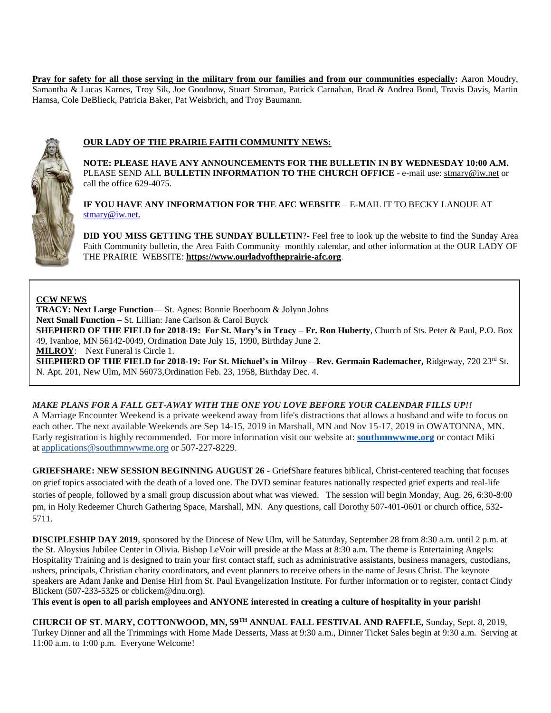Pray for safety for all those serving in the military from our families and from our communities especially: Aaron Moudry, Samantha & Lucas Karnes, Troy Sik, Joe Goodnow, Stuart Stroman, Patrick Carnahan, Brad & Andrea Bond, Travis Davis, Martin Hamsa, Cole DeBlieck, Patricia Baker, Pat Weisbrich, and Troy Baumann.



# **OUR LADY OF THE PRAIRIE FAITH COMMUNITY NEWS:**

**NOTE: PLEASE HAVE ANY ANNOUNCEMENTS FOR THE BULLETIN IN BY WEDNESDAY 10:00 A.M.** PLEASE SEND ALL **BULLETIN INFORMATION TO THE CHURCH OFFICE** - e-mail use[: stmary@iw.net](mailto:stmary@iw.net) or call the office 629-4075.

**IF YOU HAVE ANY INFORMATION FOR THE AFC WEBSITE** – E-MAIL IT TO BECKY LANOUE AT [stmary@iw.net.](mailto:stmary@iw.net)

**DID YOU MISS GETTING THE SUNDAY BULLETIN**?- Feel free to look up the website to find the Sunday Area Faith Community bulletin, the Area Faith Community monthly calendar, and other information at the OUR LADY OF THE PRAIRIE WEBSITE: **https:/[/www.ourladyoftheprairie-afc.org](http://www.ourladyoftheprairie-afc.org/)**.

### **CCW NEWS**

**TRACY: Next Large Function**— St. Agnes: Bonnie Boerboom & Jolynn Johns **Next Small Function –** St. Lillian: Jane Carlson & Carol Buyck **SHEPHERD OF THE FIELD for 2018-19: For St. Mary's in Tracy – Fr. Ron Huberty**, Church of Sts. Peter & Paul, P.O. Box 49, Ivanhoe, MN 56142-0049, Ordination Date July 15, 1990, Birthday June 2. **MILROY**: Next Funeral is Circle 1.

**SHEPHERD OF THE FIELD for 2018-19: For St. Michael's in Milroy – Rev. Germain Rademacher, Ridgeway, 720 23<sup>rd</sup> St.** N. Apt. 201, New Ulm, MN 56073,Ordination Feb. 23, 1958, Birthday Dec. 4.

### **MAKE PLANS FOR A FALL GET-AWAY WITH THE ONE YOU LOVE BEFORE YOUR CALENDAR FILLS UP!!**

A Marriage Encounter Weekend is a private weekend away from life's distractions that allows a husband and wife to focus on each other. The next available Weekends are Sep 14-15, 2019 in Marshall, MN and Nov 15-17, 2019 in OWATONNA, MN. Early registration is highly recommended. For more information visit our website at: **[southmnwwme.org](http://southmnwwme.org/)** or contact Miki at [applications@southmnwwme.org](mailto:wmandbethnickles@hotmail.com) or 507-227-8229.

**GRIEFSHARE: NEW SESSION BEGINNING AUGUST 26 -** GriefShare features biblical, Christ-centered teaching that focuses on grief topics associated with the death of a loved one. The DVD seminar features nationally respected grief experts and real-life stories of people, followed by a small group discussion about what was viewed. The session will begin Monday, Aug. 26, 6:30-8:00 pm, in Holy Redeemer Church Gathering Space, Marshall, MN. Any questions, call Dorothy 507-401-0601 or church office, 532- 5711.

**DISCIPLESHIP DAY 2019**, sponsored by the Diocese of New Ulm, will be Saturday, September 28 from 8:30 a.m. until 2 p.m. at the St. Aloysius Jubilee Center in Olivia. Bishop LeVoir will preside at the Mass at 8:30 a.m. The theme is Entertaining Angels: Hospitality Training and is designed to train your first contact staff, such as administrative assistants, business managers, custodians, ushers, principals, Christian charity coordinators, and event planners to receive others in the name of Jesus Christ. The keynote speakers are Adam Janke and Denise Hirl from St. Paul Evangelization Institute. For further information or to register, contact Cindy Blickem (507-233-5325 or cblickem@dnu.org).

**This event is open to all parish employees and ANYONE interested in creating a culture of hospitality in your parish!**

**CHURCH OF ST. MARY, COTTONWOOD, MN, 59TH ANNUAL FALL FESTIVAL AND RAFFLE,** Sunday, Sept. 8, 2019, Turkey Dinner and all the Trimmings with Home Made Desserts, Mass at 9:30 a.m., Dinner Ticket Sales begin at 9:30 a.m. Serving at 11:00 a.m. to 1:00 p.m. Everyone Welcome!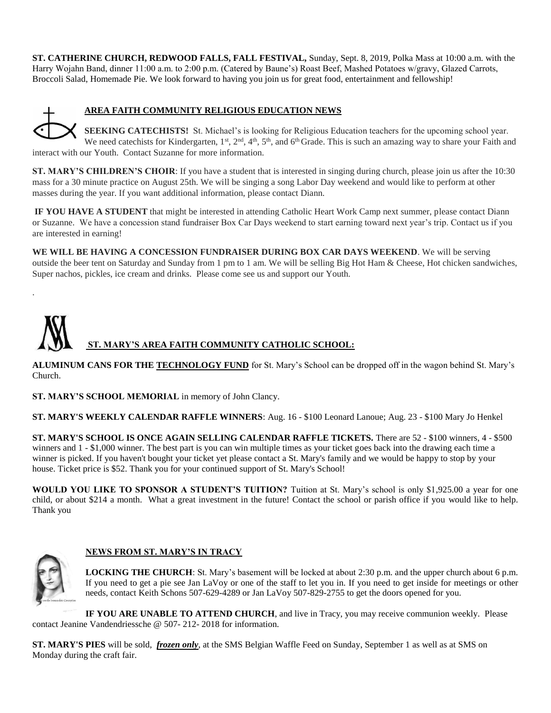**ST. CATHERINE CHURCH, REDWOOD FALLS, FALL FESTIVAL,** Sunday, Sept. 8, 2019, Polka Mass at 10:00 a.m. with the Harry Wojahn Band, dinner 11:00 a.m. to 2:00 p.m. (Catered by Baune's) Roast Beef, Mashed Potatoes w/gravy, Glazed Carrots, Broccoli Salad, Homemade Pie. We look forward to having you join us for great food, entertainment and fellowship!



.

# **AREA FAITH COMMUNITY RELIGIOUS EDUCATION NEWS**

**SEEKING CATECHISTS!** St. Michael's is looking for Religious Education teachers for the upcoming school year. We need catechists for Kindergarten,  $1^{st}$ ,  $2^{nd}$ ,  $4^{th}$ ,  $5^{th}$ , and  $6^{th}$  Grade. This is such an amazing way to share your Faith and interact with our Youth. Contact Suzanne for more information.

**ST. MARY'S CHILDREN'S CHOIR**: If you have a student that is interested in singing during church, please join us after the 10:30 mass for a 30 minute practice on August 25th. We will be singing a song Labor Day weekend and would like to perform at other masses during the year. If you want additional information, please contact Diann.

**IF YOU HAVE A STUDENT** that might be interested in attending Catholic Heart Work Camp next summer, please contact Diann or Suzanne. We have a concession stand fundraiser Box Car Days weekend to start earning toward next year's trip. Contact us if you are interested in earning!

**WE WILL BE HAVING A CONCESSION FUNDRAISER DURING BOX CAR DAYS WEEKEND**. We will be serving outside the beer tent on Saturday and Sunday from 1 pm to 1 am. We will be selling Big Hot Ham & Cheese, Hot chicken sandwiches, Super nachos, pickles, ice cream and drinks. Please come see us and support our Youth.



**ALUMINUM CANS FOR THE TECHNOLOGY FUND** for St. Mary's School can be dropped off in the wagon behind St. Mary's Church.

**ST. MARY'S SCHOOL MEMORIAL** in memory of John Clancy.

**ST. MARY'S WEEKLY CALENDAR RAFFLE WINNERS**: Aug. 16 - \$100 Leonard Lanoue; Aug. 23 - \$100 Mary Jo Henkel

**ST. MARY'S SCHOOL IS ONCE AGAIN SELLING CALENDAR RAFFLE TICKETS.** There are 52 - \$100 winners, 4 - \$500 winners and 1 - \$1,000 winner. The best part is you can win multiple times as your ticket goes back into the drawing each time a winner is picked. If you haven't bought your ticket yet please contact a St. Mary's family and we would be happy to stop by your house. Ticket price is \$52. Thank you for your continued support of St. Mary's School!

**WOULD YOU LIKE TO SPONSOR A STUDENT'S TUITION?** Tuition at St. Mary's school is only \$1,925.00 a year for one child, or about \$214 a month. What a great investment in the future! Contact the school or parish office if you would like to help. Thank you



# **NEWS FROM ST. MARY'S IN TRACY**

**LOCKING THE CHURCH**: St. Mary's basement will be locked at about 2:30 p.m. and the upper church about 6 p.m. If you need to get a pie see Jan LaVoy or one of the staff to let you in. If you need to get inside for meetings or other needs, contact Keith Schons 507-629-4289 or Jan LaVoy 507-829-2755 to get the doors opened for you.

**IF YOU ARE UNABLE TO ATTEND CHURCH**, and live in Tracy, you may receive communion weekly. Please contact Jeanine Vandendriessche @ 507- 212- 2018 for information.

**ST. MARY'S PIES** will be sold, *frozen only*, at the SMS Belgian Waffle Feed on Sunday, September 1 as well as at SMS on Monday during the craft fair.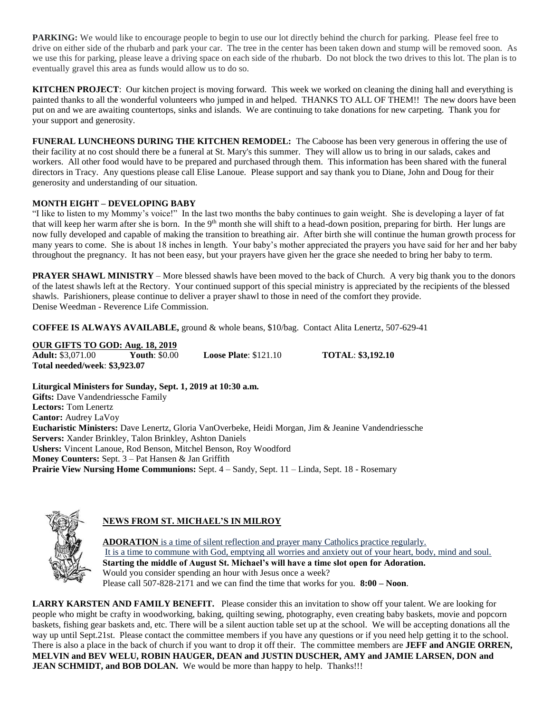**PARKING:** We would like to encourage people to begin to use our lot directly behind the church for parking. Please feel free to drive on either side of the rhubarb and park your car. The tree in the center has been taken down and stump will be removed soon. As we use this for parking, please leave a driving space on each side of the rhubarb. Do not block the two drives to this lot. The plan is to eventually gravel this area as funds would allow us to do so.

**KITCHEN PROJECT**: Our kitchen project is moving forward. This week we worked on cleaning the dining hall and everything is painted thanks to all the wonderful volunteers who jumped in and helped. THANKS TO ALL OF THEM!! The new doors have been put on and we are awaiting countertops, sinks and islands. We are continuing to take donations for new carpeting. Thank you for your support and generosity.

**FUNERAL LUNCHEONS DURING THE KITCHEN REMODEL:** The Caboose has been very generous in offering the use of their facility at no cost should there be a funeral at St. Mary's this summer. They will allow us to bring in our salads, cakes and workers. All other food would have to be prepared and purchased through them. This information has been shared with the funeral directors in Tracy. Any questions please call Elise Lanoue. Please support and say thank you to Diane, John and Doug for their generosity and understanding of our situation.

# **MONTH EIGHT – DEVELOPING BABY**

"I like to listen to my Mommy's voice!" In the last two months the baby continues to gain weight. She is developing a layer of fat that will keep her warm after she is born. In the 9<sup>th</sup> month she will shift to a head-down position, preparing for birth. Her lungs are now fully developed and capable of making the transition to breathing air. After birth she will continue the human growth process for many years to come. She is about 18 inches in length. Your baby's mother appreciated the prayers you have said for her and her baby throughout the pregnancy. It has not been easy, but your prayers have given her the grace she needed to bring her baby to term.

**PRAYER SHAWL MINISTRY** – More blessed shawls have been moved to the back of Church. A very big thank you to the donors of the latest shawls left at the Rectory. Your continued support of this special ministry is appreciated by the recipients of the blessed shawls. Parishioners, please continue to deliver a prayer shawl to those in need of the comfort they provide. Denise Weedman - Reverence Life Commission.

**COFFEE IS ALWAYS AVAILABLE,** ground & whole beans, \$10/bag. Contact Alita Lenertz, 507-629-41

**OUR GIFTS TO GOD: Aug. 18, 2019**<br>**Adult:** \$3,071.00 **Youth**: \$0.00 **Adult:** \$3,071.00 **Youth**: \$0.00 **Loose Plate**: \$121.10 **TOTAL**: **\$3,192.10 Total needed/week**: **\$3,923.07**

**Liturgical Ministers for Sunday, Sept. 1, 2019 at 10:30 a.m. Gifts:** Dave Vandendriessche Family **Lectors:** Tom Lenertz **Cantor:** Audrey LaVoy **Eucharistic Ministers:** Dave Lenertz, Gloria VanOverbeke, Heidi Morgan, Jim & Jeanine Vandendriessche **Servers:** Xander Brinkley, Talon Brinkley, Ashton Daniels **Ushers:** Vincent Lanoue, Rod Benson, Mitchel Benson, Roy Woodford **Money Counters:** Sept. 3 – Pat Hansen & Jan Griffith **Prairie View Nursing Home Communions:** Sept. 4 – Sandy, Sept. 11 – Linda, Sept. 18 - Rosemary



# **NEWS FROM ST. MICHAEL'S IN MILROY**

**ADORATION** is a time of silent reflection and prayer many Catholics practice regularly. It is a time to commune with God, emptying all worries and anxiety out of your heart, body, mind and soul. **Starting the middle of August St. Michael's will have a time slot open for Adoration.** Would you consider spending an hour with Jesus once a week? Please call 507-828-2171 and we can find the time that works for you. **8:00 – Noon**.

**LARRY KARSTEN AND FAMILY BENEFIT.** Please consider this an invitation to show off your talent. We are looking for people who might be crafty in woodworking, baking, quilting sewing, photography, even creating baby baskets, movie and popcorn baskets, fishing gear baskets and, etc. There will be a silent auction table set up at the school. We will be accepting donations all the way up until Sept.21st. Please contact the committee members if you have any questions or if you need help getting it to the school. There is also a place in the back of church if you want to drop it off their. The committee members are **JEFF and ANGIE ORREN, MELVIN and BEV WELU, ROBIN HAUGER, DEAN and JUSTIN DUSCHER, AMY and JAMIE LARSEN, DON and JEAN SCHMIDT, and BOB DOLAN.** We would be more than happy to help. Thanks!!!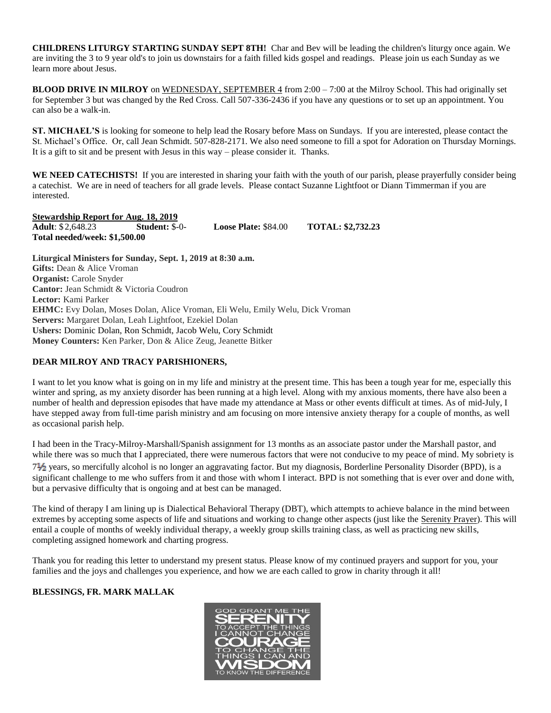**CHILDRENS LITURGY STARTING SUNDAY SEPT 8TH!** Char and Bev will be leading the children's liturgy once again. We are inviting the 3 to 9 year old's to join us downstairs for a faith filled kids gospel and readings. Please join us each Sunday as we learn more about Jesus.

**BLOOD DRIVE IN MILROY** on WEDNESDAY, SEPTEMBER 4 from 2:00 – 7:00 at the Milroy School. This had originally set for September 3 but was changed by the Red Cross. Call 507-336-2436 if you have any questions or to set up an appointment. You can also be a walk-in.

**ST. MICHAEL'S** is looking for someone to help lead the Rosary before Mass on Sundays. If you are interested, please contact the St. Michael's Office. Or, call Jean Schmidt. 507-828-2171. We also need someone to fill a spot for Adoration on Thursday Mornings. It is a gift to sit and be present with Jesus in this way – please consider it. Thanks.

**WE NEED CATECHISTS!** If you are interested in sharing your faith with the youth of our parish, please prayerfully consider being a catechist. We are in need of teachers for all grade levels. Please contact Suzanne Lightfoot or Diann Timmerman if you are interested.

**Stewardship Report for Aug. 18, 2019 Adult**: \$ 2,648.23 **Student:** \$-0- **Loose Plate:** \$84.00 **TOTAL: \$2,732.23 Total needed/week: \$1,500.00**

**Liturgical Ministers for Sunday, Sept. 1, 2019 at 8:30 a.m. Gifts:** Dean & Alice Vroman **Organist:** Carole Snyder **Cantor:** Jean Schmidt & Victoria Coudron **Lector:** Kami Parker **EHMC:** Evy Dolan, Moses Dolan, Alice Vroman, Eli Welu, Emily Welu, Dick Vroman **Servers:** Margaret Dolan, Leah Lightfoot, Ezekiel Dolan **Ushers:** Dominic Dolan, Ron Schmidt, Jacob Welu, Cory Schmidt **Money Counters:** Ken Parker, Don & Alice Zeug, Jeanette Bitker

### **DEAR MILROY AND TRACY PARISHIONERS,**

I want to let you know what is going on in my life and ministry at the present time. This has been a tough year for me, especially this winter and spring, as my anxiety disorder has been running at a high level. Along with my anxious moments, there have also been a number of health and depression episodes that have made my attendance at Mass or other events difficult at times. As of mid-July, I have stepped away from full-time parish ministry and am focusing on more intensive anxiety therapy for a couple of months, as well as occasional parish help.

I had been in the Tracy-Milroy-Marshall/Spanish assignment for 13 months as an associate pastor under the Marshall pastor, and while there was so much that I appreciated, there were numerous factors that were not conducive to my peace of mind. My sobriety is 7 years, so mercifully alcohol is no longer an aggravating factor. But my diagnosis, Borderline Personality Disorder (BPD), is a significant challenge to me who suffers from it and those with whom I interact. BPD is not something that is ever over and done with, but a pervasive difficulty that is ongoing and at best can be managed.

The kind of therapy I am lining up is Dialectical Behavioral Therapy (DBT), which attempts to achieve balance in the mind between extremes by accepting some aspects of life and situations and working to change other aspects (just like the Serenity Prayer). This will entail a couple of months of weekly individual therapy, a weekly group skills training class, as well as practicing new skills, completing assigned homework and charting progress.

Thank you for reading this letter to understand my present status. Please know of my continued prayers and support for you, your families and the joys and challenges you experience, and how we are each called to grow in charity through it all!

### **BLESSINGS, FR. MARK MALLAK**